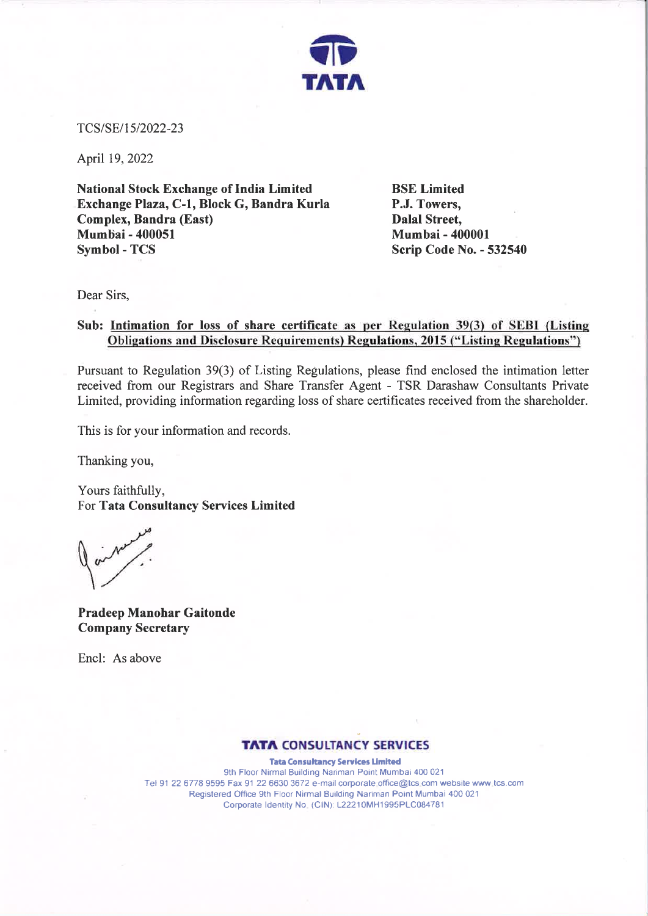

TCS/SE/1512022-23

April 19, 2022

National Stock Exchange of India Limited Exchange Plaza, C-1, Block G, Bandra Kurla Complex, Bandra (East) Mumbai - 400051 Symbol - TCS

BSE Limited P.J. Towers, Dalal Street, Mumbai - 400001 Scrip Code No. - 532540

Dear Sirs,

## Sub: Intimation for loss of share certificate as per Regulation 39(3) of SEBI (Listing Obligations and Disclosure Requirements) Regulations, 2015 ("Listing Regulations")

Pursuant to Regulation 39(3) of Listing Regulations, please find enclosed the intimation letter received from our Registrars and Share Transfer Agent - TSR Darashaw Consultants Private Limited, providing information regarding loss of share certificates received from the shareholder.

This is for your information and records.

Thanking you,

Yours faithfully, For Tata Consultancy Services Limited

Pradeep Manohar Gaitonde Company Secretary

Encl: As above

## **TATA CONSULTANCY SERVICES**

Tata Consultancy Services Limited gth Floor Nirmal Building Nariman Point Mumbai 40O <sup>021</sup> Tel 91 22 6778 9595 Fax 91 22 6630 3672 e-mail corporate.office@tcs.com website www.tcs.com Registered ffice 9th Floor Nirmal Building Nariman Point Mumbai 4OO <sup>021</sup> Corporate ldentity No. (ClN). 122210MH1995PLC084781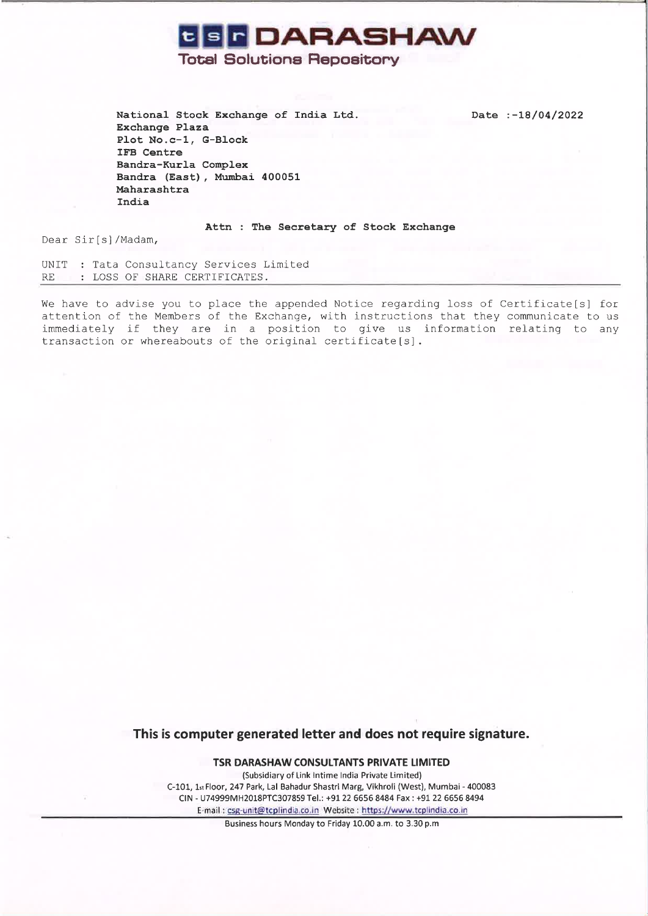

Date :-18/04/2022

Total Solutione Repoeitony

National Stock Exchange of India Ltd. Exchange Plaza PIot No.c-1, G-Block IFB Centre Bandra-Kurla Complex Bandra (East) , Murnbai <sup>400051</sup> Maharashtra India

Attn : The Secretary of Stock Exchange

Dear Sir[s]/Madam,

UNIT : Tata Consultancy Services Limited RE : LOSS OF SHARE CERTIFICATES.

We have to advise you to place the appended Notice regarding loss of Certificate[s] for attention of the Members of the Exchange, with instructions that they communicate to us immediately if they are in a position to give us information relating to any transaction or whereabouts of the original certificate [s].

This is computer generated letter and does not require signature.

TSR DARASHAW CONSULTANTS PRIVATE LIMITED (Subsidiary of Link lntime lndia Private Limited) C-101, 1st Floor, 247 Park, Lal Bahadur Shastri Marg, Vikhroli (West), Mumbai - 400083 CIN - U74999MH2018PTC307859Te|.: +91 226656 8484 Fax : +9122 6656 8494 E-mail : csg-unit@tcplindia.co.in Website : https://www.tcplindia.co.in

Business hours Monday to Friday 10.00 a.m. to 3.30 p.m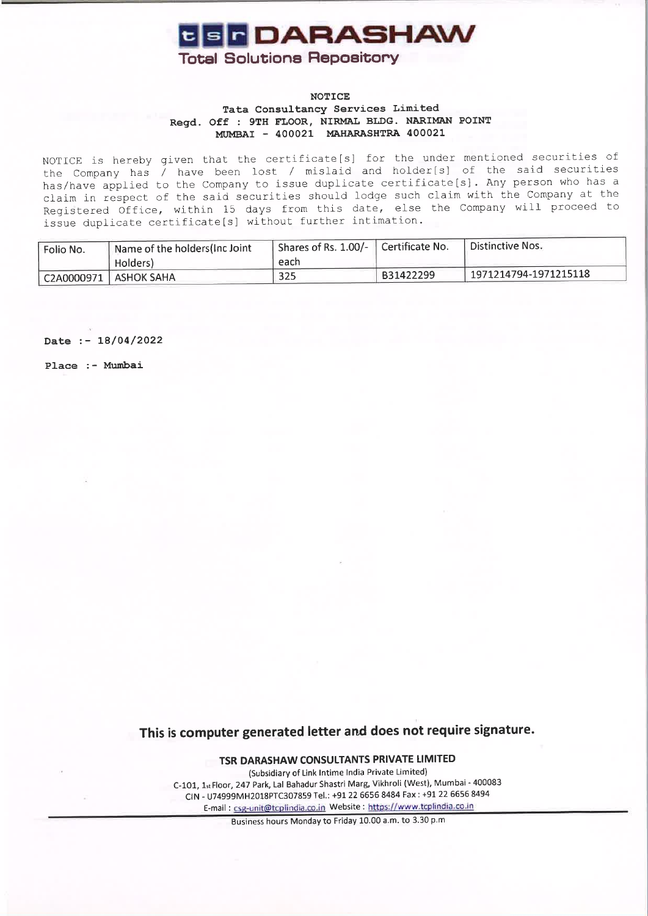

### **NOTICE** Tata Consultancy Services Limited Regd. Off : 9TH FLOOR, NIRMAL BLDG. NARIMAN POINT MUMBAI - 400021 MAHARASHTRA 400021

NOTICE is hereby given that the certificate[s] for the under mentioned securities of the Company has / have been lost / mislaid and holder[s] of the said securities has/have applied to the Company to issue duplicate certificate[s]. Any person who has a claim in respect of the said securities should lodge such claim with the Company at the Registered Office. within 15 days from this date, else the Company will proceed to issue duplicate certificate[s] without further intimation.

| Folio No. | Name of the holders (Inc Joint | $\Box$ Shares of Rs. 1.00/- $\Box$ Certificate No. |           | Distinctive Nos.                 |
|-----------|--------------------------------|----------------------------------------------------|-----------|----------------------------------|
|           | Holders)                       | each                                               |           |                                  |
|           | $C2A0000971$ $ $ ASHOK SAHA    | 325                                                | B31422299 | $^{\circ}$ 1971214794-1971215118 |

Date :- 18/04/2022

Place :- Mumbai

This is computer generated letter and does not require signature.

TSR DARASHAW CONSULTANTS PRIVATE LIMITED

(Subsidiary of Link lntime lndia Private Limited) C-101, 1st Floor, 247 Park, Lal Bahadur Shastri Marg, Vikhroli (West), Mumbai - 400083 CIN - U74999MH2018PTC307859Te|.: +91 226656 8484 Fax:+9!22 66568494 E-mail : csg-unit@tcolindia.co.in Website : httos://www.tcolindia.co-in

Business hours Monday to Friday 10.00 a.m. to 3.30 p.m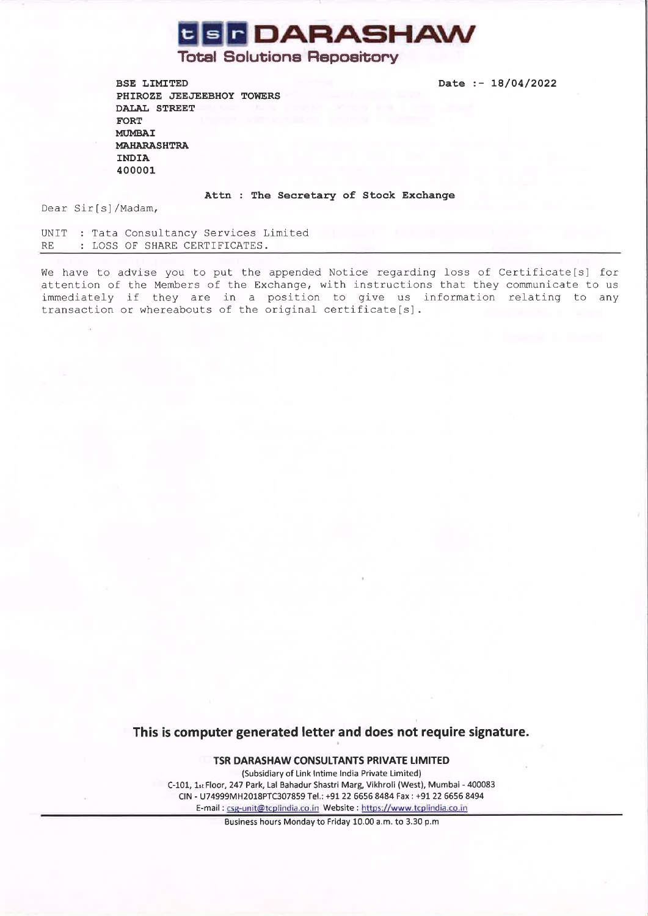

Date :- 18/04/2022

# Total Solutions Repoeitony

BSE LIMITED PHIROZE JEEJEEBHOY TOWERS DALAL STREET FORT MUMBAI MAHARASHTRA INDIA 400001

#### Attn : The Secretary of Stock Exchange

Dear Sir[s]/Madam,

UNIT : Tata Consultancy Services Limited RE : LOSS OF SHARE CERTIFICATES.

We have to advise you to put the appended Notice regarding loss of Certificate[s] for attention of the Members of the Exchange, with instructions that they communicate to us immediately if they are in a position to give us information relating to any transaction or whereabouts of the original certificate[s].

This is computer generated letter and does not require signature.

TSR DARASHAW CONSULTANTS PRIVATE LIMITED

(Subsidiary of Link lntime lndia Private Limited) C-101, 1st Floor, 247 Park, Lal Bahadur Shastri Marg, Vikhroli (West), Mumbai - 400083 CIN - U74999MH2018PTC307859 Tel.: +91 22 6656 8484 Fax : +9t 22 6656 8494 E-mail : csg-unit@tcplindia.co.in Website : https://www.tcplindia.co.in

Business hours Monday.to Friday 10.00 a.m. to 3.30 p.m